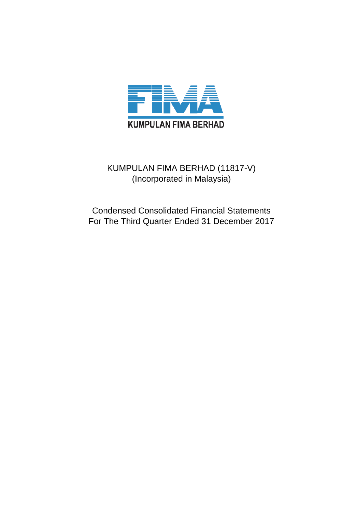

# KUMPULAN FIMA BERHAD (11817-V) (Incorporated in Malaysia)

Condensed Consolidated Financial Statements For The Third Quarter Ended 31 December 2017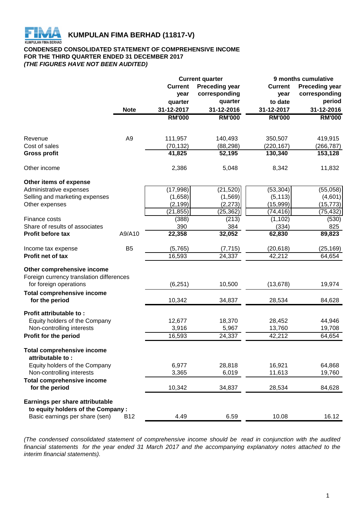

# **CONDENSED CONSOLIDATED STATEMENT OF COMPREHENSIVE INCOME FOR THE THIRD QUARTER ENDED 31 DECEMBER 2017** *(THE FIGURES HAVE NOT BEEN AUDITED)*

| <b>Preceding year</b><br><b>Preceding year</b><br><b>Current</b><br><b>Current</b><br>corresponding<br>corresponding<br>year<br>year<br>quarter<br>to date<br>quarter<br>31-12-2017<br>31-12-2016<br>31-12-2017<br><b>Note</b><br><b>RM'000</b><br><b>RM'000</b><br><b>RM'000</b><br>A <sub>9</sub><br>111,957<br>140,493<br>350,507<br>Revenue<br>(70, 132)<br>(88, 298)<br>Cost of sales<br>(220, 167)<br>41,825<br>52,195<br>130,340<br><b>Gross profit</b><br>Other income<br>2,386<br>5,048<br>8,342<br>Other items of expense<br>(17, 998)<br>(21, 520)<br>(53, 304)<br>Administrative expenses<br>(1,658)<br>(1, 569)<br>(5, 113)<br>Selling and marketing expenses<br>(2, 199)<br>(15, 999)<br>(2, 273)<br>Other expenses<br>(21, 855)<br>(25, 362)<br>(74, 416)<br>(388)<br>(213)<br>(1, 102)<br>Finance costs<br>390<br>384<br>Share of results of associates<br>(334)<br>Profit before tax<br>A9/A10<br>22,358<br>32,052<br>62,830<br>B <sub>5</sub><br>(5,765)<br>(7, 715)<br>(20, 618)<br>Income tax expense<br>16,593<br>24,337<br>42,212<br><b>Profit net of tax</b><br>Other comprehensive income<br>Foreign currency translation differences<br>for foreign operations<br>(6, 251)<br>10,500<br>(13, 678)<br><b>Total comprehensive income</b><br>for the period<br>10,342<br>34,837<br>28,534<br>Profit attributable to:<br>Equity holders of the Company<br>12,677<br>18,370<br>28,452<br>Non-controlling interests<br>3,916<br>5,967<br>13,760<br>42,212<br>Profit for the period<br>16,593<br>24,337 |               |
|---------------------------------------------------------------------------------------------------------------------------------------------------------------------------------------------------------------------------------------------------------------------------------------------------------------------------------------------------------------------------------------------------------------------------------------------------------------------------------------------------------------------------------------------------------------------------------------------------------------------------------------------------------------------------------------------------------------------------------------------------------------------------------------------------------------------------------------------------------------------------------------------------------------------------------------------------------------------------------------------------------------------------------------------------------------------------------------------------------------------------------------------------------------------------------------------------------------------------------------------------------------------------------------------------------------------------------------------------------------------------------------------------------------------------------------------------------------------------------------------------------------------------|---------------|
|                                                                                                                                                                                                                                                                                                                                                                                                                                                                                                                                                                                                                                                                                                                                                                                                                                                                                                                                                                                                                                                                                                                                                                                                                                                                                                                                                                                                                                                                                                                           |               |
|                                                                                                                                                                                                                                                                                                                                                                                                                                                                                                                                                                                                                                                                                                                                                                                                                                                                                                                                                                                                                                                                                                                                                                                                                                                                                                                                                                                                                                                                                                                           |               |
|                                                                                                                                                                                                                                                                                                                                                                                                                                                                                                                                                                                                                                                                                                                                                                                                                                                                                                                                                                                                                                                                                                                                                                                                                                                                                                                                                                                                                                                                                                                           | period        |
|                                                                                                                                                                                                                                                                                                                                                                                                                                                                                                                                                                                                                                                                                                                                                                                                                                                                                                                                                                                                                                                                                                                                                                                                                                                                                                                                                                                                                                                                                                                           | 31-12-2016    |
|                                                                                                                                                                                                                                                                                                                                                                                                                                                                                                                                                                                                                                                                                                                                                                                                                                                                                                                                                                                                                                                                                                                                                                                                                                                                                                                                                                                                                                                                                                                           | <b>RM'000</b> |
|                                                                                                                                                                                                                                                                                                                                                                                                                                                                                                                                                                                                                                                                                                                                                                                                                                                                                                                                                                                                                                                                                                                                                                                                                                                                                                                                                                                                                                                                                                                           |               |
|                                                                                                                                                                                                                                                                                                                                                                                                                                                                                                                                                                                                                                                                                                                                                                                                                                                                                                                                                                                                                                                                                                                                                                                                                                                                                                                                                                                                                                                                                                                           | 419,915       |
|                                                                                                                                                                                                                                                                                                                                                                                                                                                                                                                                                                                                                                                                                                                                                                                                                                                                                                                                                                                                                                                                                                                                                                                                                                                                                                                                                                                                                                                                                                                           | (266, 787)    |
|                                                                                                                                                                                                                                                                                                                                                                                                                                                                                                                                                                                                                                                                                                                                                                                                                                                                                                                                                                                                                                                                                                                                                                                                                                                                                                                                                                                                                                                                                                                           | 153,128       |
|                                                                                                                                                                                                                                                                                                                                                                                                                                                                                                                                                                                                                                                                                                                                                                                                                                                                                                                                                                                                                                                                                                                                                                                                                                                                                                                                                                                                                                                                                                                           | 11,832        |
|                                                                                                                                                                                                                                                                                                                                                                                                                                                                                                                                                                                                                                                                                                                                                                                                                                                                                                                                                                                                                                                                                                                                                                                                                                                                                                                                                                                                                                                                                                                           |               |
|                                                                                                                                                                                                                                                                                                                                                                                                                                                                                                                                                                                                                                                                                                                                                                                                                                                                                                                                                                                                                                                                                                                                                                                                                                                                                                                                                                                                                                                                                                                           | (55,058)      |
|                                                                                                                                                                                                                                                                                                                                                                                                                                                                                                                                                                                                                                                                                                                                                                                                                                                                                                                                                                                                                                                                                                                                                                                                                                                                                                                                                                                                                                                                                                                           | (4,601)       |
|                                                                                                                                                                                                                                                                                                                                                                                                                                                                                                                                                                                                                                                                                                                                                                                                                                                                                                                                                                                                                                                                                                                                                                                                                                                                                                                                                                                                                                                                                                                           | (15, 773)     |
|                                                                                                                                                                                                                                                                                                                                                                                                                                                                                                                                                                                                                                                                                                                                                                                                                                                                                                                                                                                                                                                                                                                                                                                                                                                                                                                                                                                                                                                                                                                           | (75, 432)     |
|                                                                                                                                                                                                                                                                                                                                                                                                                                                                                                                                                                                                                                                                                                                                                                                                                                                                                                                                                                                                                                                                                                                                                                                                                                                                                                                                                                                                                                                                                                                           | (530)         |
|                                                                                                                                                                                                                                                                                                                                                                                                                                                                                                                                                                                                                                                                                                                                                                                                                                                                                                                                                                                                                                                                                                                                                                                                                                                                                                                                                                                                                                                                                                                           | 825           |
|                                                                                                                                                                                                                                                                                                                                                                                                                                                                                                                                                                                                                                                                                                                                                                                                                                                                                                                                                                                                                                                                                                                                                                                                                                                                                                                                                                                                                                                                                                                           | 89,823        |
|                                                                                                                                                                                                                                                                                                                                                                                                                                                                                                                                                                                                                                                                                                                                                                                                                                                                                                                                                                                                                                                                                                                                                                                                                                                                                                                                                                                                                                                                                                                           | (25,169)      |
|                                                                                                                                                                                                                                                                                                                                                                                                                                                                                                                                                                                                                                                                                                                                                                                                                                                                                                                                                                                                                                                                                                                                                                                                                                                                                                                                                                                                                                                                                                                           | 64,654        |
|                                                                                                                                                                                                                                                                                                                                                                                                                                                                                                                                                                                                                                                                                                                                                                                                                                                                                                                                                                                                                                                                                                                                                                                                                                                                                                                                                                                                                                                                                                                           |               |
|                                                                                                                                                                                                                                                                                                                                                                                                                                                                                                                                                                                                                                                                                                                                                                                                                                                                                                                                                                                                                                                                                                                                                                                                                                                                                                                                                                                                                                                                                                                           |               |
|                                                                                                                                                                                                                                                                                                                                                                                                                                                                                                                                                                                                                                                                                                                                                                                                                                                                                                                                                                                                                                                                                                                                                                                                                                                                                                                                                                                                                                                                                                                           | 19,974        |
|                                                                                                                                                                                                                                                                                                                                                                                                                                                                                                                                                                                                                                                                                                                                                                                                                                                                                                                                                                                                                                                                                                                                                                                                                                                                                                                                                                                                                                                                                                                           |               |
|                                                                                                                                                                                                                                                                                                                                                                                                                                                                                                                                                                                                                                                                                                                                                                                                                                                                                                                                                                                                                                                                                                                                                                                                                                                                                                                                                                                                                                                                                                                           | 84,628        |
|                                                                                                                                                                                                                                                                                                                                                                                                                                                                                                                                                                                                                                                                                                                                                                                                                                                                                                                                                                                                                                                                                                                                                                                                                                                                                                                                                                                                                                                                                                                           |               |
|                                                                                                                                                                                                                                                                                                                                                                                                                                                                                                                                                                                                                                                                                                                                                                                                                                                                                                                                                                                                                                                                                                                                                                                                                                                                                                                                                                                                                                                                                                                           | 44,946        |
|                                                                                                                                                                                                                                                                                                                                                                                                                                                                                                                                                                                                                                                                                                                                                                                                                                                                                                                                                                                                                                                                                                                                                                                                                                                                                                                                                                                                                                                                                                                           | 19,708        |
|                                                                                                                                                                                                                                                                                                                                                                                                                                                                                                                                                                                                                                                                                                                                                                                                                                                                                                                                                                                                                                                                                                                                                                                                                                                                                                                                                                                                                                                                                                                           | 64,654        |
| <b>Total comprehensive income</b><br>attributable to:                                                                                                                                                                                                                                                                                                                                                                                                                                                                                                                                                                                                                                                                                                                                                                                                                                                                                                                                                                                                                                                                                                                                                                                                                                                                                                                                                                                                                                                                     |               |
| 6,977<br>28,818<br>16,921<br>Equity holders of the Company                                                                                                                                                                                                                                                                                                                                                                                                                                                                                                                                                                                                                                                                                                                                                                                                                                                                                                                                                                                                                                                                                                                                                                                                                                                                                                                                                                                                                                                                | 64,868        |
| 11,613<br>Non-controlling interests<br>3,365<br>6,019                                                                                                                                                                                                                                                                                                                                                                                                                                                                                                                                                                                                                                                                                                                                                                                                                                                                                                                                                                                                                                                                                                                                                                                                                                                                                                                                                                                                                                                                     | 19,760        |
|                                                                                                                                                                                                                                                                                                                                                                                                                                                                                                                                                                                                                                                                                                                                                                                                                                                                                                                                                                                                                                                                                                                                                                                                                                                                                                                                                                                                                                                                                                                           |               |
| <b>Total comprehensive income</b><br>for the period<br>10,342<br>34,837<br>28,534                                                                                                                                                                                                                                                                                                                                                                                                                                                                                                                                                                                                                                                                                                                                                                                                                                                                                                                                                                                                                                                                                                                                                                                                                                                                                                                                                                                                                                         | 84,628        |
| Earnings per share attributable                                                                                                                                                                                                                                                                                                                                                                                                                                                                                                                                                                                                                                                                                                                                                                                                                                                                                                                                                                                                                                                                                                                                                                                                                                                                                                                                                                                                                                                                                           |               |
| to equity holders of the Company:                                                                                                                                                                                                                                                                                                                                                                                                                                                                                                                                                                                                                                                                                                                                                                                                                                                                                                                                                                                                                                                                                                                                                                                                                                                                                                                                                                                                                                                                                         |               |
| Basic earnings per share (sen)<br>10.08<br><b>B12</b><br>4.49<br>6.59                                                                                                                                                                                                                                                                                                                                                                                                                                                                                                                                                                                                                                                                                                                                                                                                                                                                                                                                                                                                                                                                                                                                                                                                                                                                                                                                                                                                                                                     | 16.12         |

*(The condensed consolidated statement of comprehensive income should be read in conjunction with the audited* financial statements for the year ended 31 March 2017 and the accompanying explanatory notes attached to the *interim financial statements).*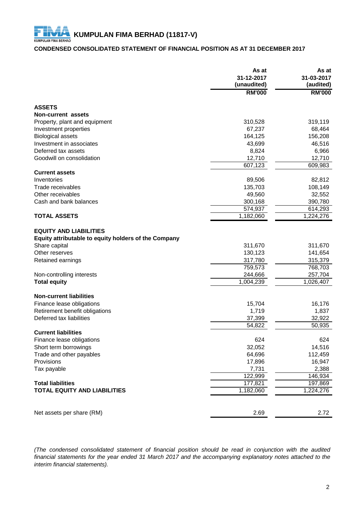# **CONDENSED CONSOLIDATED STATEMENT OF FINANCIAL POSITION AS AT 31 DECEMBER 2017**

|                                                      | As at<br>31-12-2017<br>(unaudited) | As at<br>31-03-2017<br>(audited) |
|------------------------------------------------------|------------------------------------|----------------------------------|
|                                                      | <b>RM'000</b>                      | <b>RM'000</b>                    |
| <b>ASSETS</b>                                        |                                    |                                  |
| Non-current assets                                   |                                    |                                  |
| Property, plant and equipment                        | 310,528                            | 319,119                          |
| Investment properties                                | 67,237                             | 68,464                           |
| <b>Biological assets</b>                             | 164,125                            | 156,208                          |
| Investment in associates                             | 43,699                             | 46,516                           |
| Deferred tax assets                                  | 8,824                              | 6,966                            |
| Goodwill on consolidation                            | 12,710                             | 12,710                           |
|                                                      | 607,123                            | 609,983                          |
| <b>Current assets</b>                                |                                    |                                  |
| Inventories                                          | 89,506                             | 82,812                           |
| Trade receivables                                    | 135,703                            | 108,149                          |
| Other receivables                                    | 49,560                             | 32,552                           |
| Cash and bank balances                               | 300,168                            | 390,780                          |
|                                                      | 574,937                            | 614,293                          |
| <b>TOTAL ASSETS</b>                                  | 1,182,060                          | 1,224,276                        |
| <b>EQUITY AND LIABILITIES</b>                        |                                    |                                  |
| Equity attributable to equity holders of the Company |                                    |                                  |
| Share capital                                        | 311,670                            | 311,670                          |
| Other reserves                                       | 130,123                            | 141,654                          |
| Retained earnings                                    | 317,780                            | 315,379                          |
|                                                      | 759,573                            | 768,703                          |
| Non-controlling interests                            | 244,666                            | 257,704                          |
| <b>Total equity</b>                                  | 1,004,239                          | 1,026,407                        |
| <b>Non-current liabilities</b>                       |                                    |                                  |
| Finance lease obligations                            | 15,704                             | 16,176                           |
| Retirement benefit obligations                       | 1,719                              | 1,837                            |
| Deferred tax liabilities                             | 37,399                             | 32,922                           |
|                                                      | 54,822                             | 50,935                           |
| <b>Current liabilities</b>                           |                                    |                                  |
| Finance lease obligations                            | 624                                | 624                              |
| Short term borrowings                                | 32,052                             | 14,516                           |
| Trade and other payables                             | 64,696                             | 112,459                          |
| Provisions                                           | 17,896                             | 16,947                           |
| Tax payable                                          | 7,731                              | 2,388                            |
|                                                      | 122,999                            | 146,934                          |
| <b>Total liabilities</b>                             | 177,821                            | 197,869                          |
| <b>TOTAL EQUITY AND LIABILITIES</b>                  | 1,182,060                          | 1,224,276                        |
|                                                      |                                    |                                  |
| Net assets per share (RM)                            | 2.69                               | 2.72                             |

*(The condensed consolidated statement of financial position should be read in conjunction with the audited* financial statements for the year ended 31 March 2017 and the accompanying explanatory notes attached to the *interim financial statements).*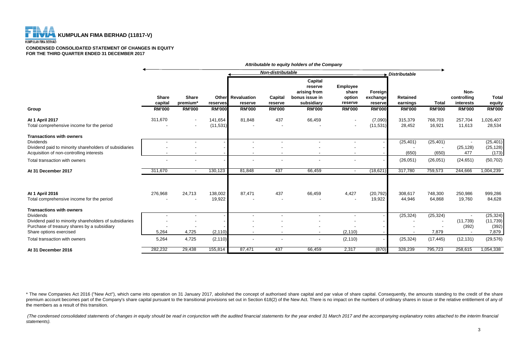# **KUMPULAN FIMA BERHAD (11817-V) KUMPULAN FIMA BERHAD**

#### **CONDENSED CONSOLIDATED STATEMENT OF CHANGES IN EQUITY FOR THE THIRD QUARTER ENDED 31 DECEMBER 2017**

**Capital reserve Employee arising from share Foreign Non-Share Share Other Revaluation Capital bonus issue in option exchange Retained controlling Total capital premium\* reserves reserve reserve subsidiary reserve reserve earnings Total interests equity Group RM'000 RM'000 RM'000 RM'000 RM'000 RM'000 RM'000 RM'000 RM'000 RM'000 RM'000 RM'000 At 1 April 2017** 311,670 - 141,654 81,848 437 66,459 - (7,090) 315,379 768,703 257,704 1,026,407 Total comprehensive income for the period - - (11,531) - - - - (11,531) 28,452 16,921 11,613 28,534 **Transactions with owners** Dividends - - - - - - - - (25,401) (25,401) - (25,401) Dividend paid to minority shareholders of subsidiaries **Fig. 125.128** and the subsidiaries **COLOGY** (25.128) (25.128) (25.128) (25.128) Acquisition of non-controlling interests and the state of the state of the state of the state of the state of the state of the state of the state of the state of the state of the state of the state of the state of the stat Total transaction with owners - - - - - - - - (26,051) (26,051) (24,651) (50,702) **At 31 December 2017** 311,670 - 130,123 81,848 437 66,459 - (18,621) 317,780 759,573 244,666 1,004,239 **At 1 April 2016** 276,968 24,713 138,002 87,471 437 66,459 4,427 (20,792) 308,617 748,300 250,986 999,286 Total comprehensive income for the period **COVID-19, 2006** - 19,922 - - - - - - - - - - - - - 19,922 44,946 64,868 19,760 84,628 **Transactions with owners** Dividends - - - - - - - - (25,324) (25,324) - (25,324) Dividend paid to minority shareholders of subsidiaries and the state of the subsidiaries of treasury shareholders of subsidiaries and the state of treasury shareholders of subsidiaries and the state of treasury shares by a Purchase of treasury shares by a subsidiary and the state of treasury shares by a subsidiary of the subsidiary of the subsidiary of the subsidiary of the subsidiary of the subsidiary of the subsidiary of the subsidiary of Share options exercised 5,264 4,725 (2,110) - - - (2,110) - - 7,879 - 7,879 Total transaction with owners 5,264 4,725 (2,110) - - - (2,110) - (25,324) (17,445) (12,131) (29,576) **At 31 December 2016** 282,232 29,438 155,814 87,471 437 66,459 2,317 (870) 328,239 795,723 258,615 1,054,338 *Non-distributable Distributable Attributable to equity holders of the Company*

\* The new Companies Act 2016 ("New Act"), which came into operation on 31 January 2017, abolished the concept of authorised share capital and par value of share capital. Consequently, the amounts standing to the credit of premium account becomes part of the Company's share capital pursuant to the transitional provisions set out in Section 618(2) of the New Act. There is no impact on the numbers of ordinary shares in issue or the relative en the members as a result of this transition.

(The condensed consolidated statements of changes in equity should be read in conjunction with the audited financial statements for the year ended 31 March 2017 and the accompanying explanatory notes attached to the interi *statements).*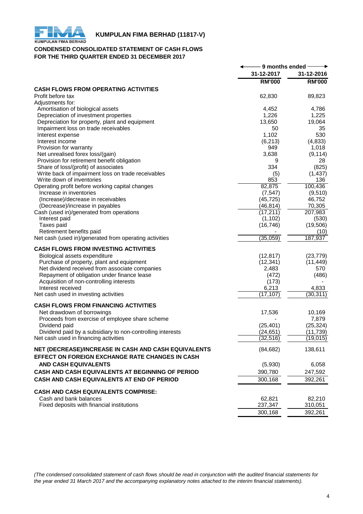

# **KUMPULAN FIMA BERHAD (11817-V)**<br>KUMPULAN FIMA BERHAD

# **CONDENSED CONSOLIDATED STATEMENT OF CASH FLOWS FOR THE THIRD QUARTER ENDED 31 DECEMBER 2017**

|                                                                             | 9 months ended - |                 |
|-----------------------------------------------------------------------------|------------------|-----------------|
|                                                                             | 31-12-2017       | 31-12-2016      |
|                                                                             | <b>RM'000</b>    | <b>RM'000</b>   |
| <b>CASH FLOWS FROM OPERATING ACTIVITIES</b>                                 |                  |                 |
| Profit before tax                                                           | 62,830           | 89,823          |
| Adjustments for:                                                            |                  |                 |
| Amortisation of biological assets                                           | 4,452            | 4,786           |
| Depreciation of investment properties                                       | 1,226            | 1,225           |
| Depreciation for property, plant and equipment                              | 13,650           | 19,064          |
| Impairment loss on trade receivables                                        | 50               | 35              |
| Interest expense                                                            | 1,102            | 530             |
| Interest income                                                             | (6, 213)         | (4, 833)        |
| Provision for warranty                                                      | 949              | 1,018           |
| Net unrealised forex loss/(gain)                                            | 3,638            | (9, 114)        |
| Provision for retirement benefit obligation                                 | 9                | 28              |
| Share of loss/(profit) of associates                                        | 334              | (825)           |
| Write back of impairment loss on trade receivables                          | (5)              | (1, 437)        |
| Write down of inventories                                                   | 853              | 136             |
| Operating profit before working capital changes                             | 82,875           | 100,436         |
| Increase in inventories                                                     | (7, 547)         | (9,510)         |
| (Increase)/decrease in receivables                                          | (45, 725)        | 46,752          |
| (Decrease)/increase in payables                                             | (46, 814)        | 70,305          |
| Cash (used in)/generated from operations                                    | (17, 211)        | 207,983         |
| Interest paid                                                               | (1, 102)         | (530)           |
| Taxes paid                                                                  | (16, 746)        | (19,506)        |
| Retirement benefits paid                                                    |                  | (10)            |
| Net cash (used in)/generated from operating activities                      | (35,059)         | 187,937         |
| <b>CASH FLOWS FROM INVESTING ACTIVITIES</b>                                 |                  |                 |
| Biological assets expenditure                                               | (12, 817)        | (23, 779)       |
| Purchase of property, plant and equipment                                   | (12, 341)        | (11, 449)       |
| Net dividend received from associate companies                              | 2,483            | 570             |
| Repayment of obligation under finance lease                                 | (472)            | (486)           |
| Acquisition of non-controlling interests                                    | (173)            |                 |
| Interest received                                                           | 6,213            | 4,833           |
| Net cash used in investing activities                                       | (17, 107)        | (30, 311)       |
| <b>CASH FLOWS FROM FINANCING ACTIVITIES</b>                                 |                  |                 |
| Net drawdown of borrowings                                                  | 17,536           |                 |
| Proceeds from exercise of employee share scheme                             |                  | 10,169<br>7,879 |
|                                                                             | (25, 401)        | (25, 324)       |
| Dividend paid<br>Dividend paid by a subsidiary to non-controlling interests | (24, 651)        | (11, 739)       |
| Net cash used in financing activities                                       | (32, 516)        | (19, 015)       |
|                                                                             |                  |                 |
| NET (DECREASE)/INCREASE IN CASH AND CASH EQUIVALENTS                        | (84, 682)        | 138,611         |
| EFFECT ON FOREIGN EXCHANGE RATE CHANGES IN CASH                             |                  |                 |
| <b>AND CASH EQUIVALENTS</b>                                                 | (5,930)          | 6,058           |
| CASH AND CASH EQUIVALENTS AT BEGINNING OF PERIOD                            | 390,780          | 247,592         |
| CASH AND CASH EQUIVALENTS AT END OF PERIOD                                  | 300,168          | 392,261         |
|                                                                             |                  |                 |
| <b>CASH AND CASH EQUIVALENTS COMPRISE:</b>                                  |                  |                 |
| Cash and bank balances                                                      | 62,821           | 82,210          |
| Fixed deposits with financial institutions                                  | 237,347          | 310,051         |
|                                                                             | 300,168          | 392,261         |

*(The condensed consolidated statement of cash flows should be read in conjunction with the audited financial statements for the year ended 31 March 2017 and the accompanying explanatory notes attached to the interim financial statements).*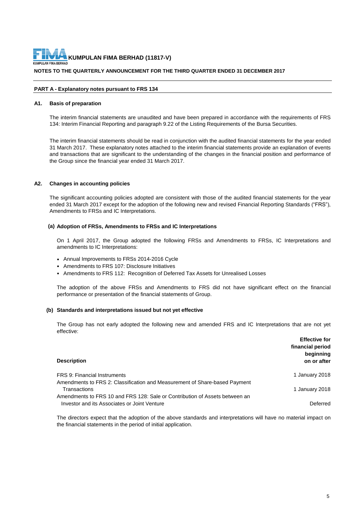**NOTES TO THE QUARTERLY ANNOUNCEMENT FOR THE THIRD QUARTER ENDED 31 DECEMBER 2017 KUMPULAN FIMA BERHAD (11817-V)**

#### **PART A - Explanatory notes pursuant to FRS 134**

#### **A1. Basis of preparation**

The interim financial statements are unaudited and have been prepared in accordance with the requirements of FRS 134: Interim Financial Reporting and paragraph 9.22 of the Listing Requirements of the Bursa Securities.

The interim financial statements should be read in conjunction with the audited financial statements for the year ended 31 March 2017. These explanatory notes attached to the interim financial statements provide an explanation of events and transactions that are significant to the understanding of the changes in the financial position and performance of the Group since the financial year ended 31 March 2017.

#### **A2. Changes in accounting policies**

The significant accounting policies adopted are consistent with those of the audited financial statements for the year ended 31 March 2017 except for the adoption of the following new and revised Financial Reporting Standards ("FRS"), Amendments to FRSs and IC Interpretations.

#### **(a) Adoption of FRSs, Amendments to FRSs and IC Interpretations**

On 1 April 2017, the Group adopted the following FRSs and Amendments to FRSs, IC Interpretations and amendments to IC Interpretations:

- Annual Improvements to FRSs 2014-2016 Cycle
- Amendments to FRS 107: Disclosure Initiatives
- Amendments to FRS 112: Recognition of Deferred Tax Assets for Unrealised Losses

The adoption of the above FRSs and Amendments to FRS did not have significant effect on the financial performance or presentation of the financial statements of Group.

#### **(b) Standards and interpretations issued but not yet effective**

The Group has not early adopted the following new and amended FRS and IC Interpretations that are not yet effective:

| <b>Description</b>                                                          | <b>Effective for</b><br>financial period<br>beginning<br>on or after |
|-----------------------------------------------------------------------------|----------------------------------------------------------------------|
| FRS 9: Financial Instruments                                                | 1 January 2018                                                       |
| Amendments to FRS 2: Classification and Measurement of Share-based Payment  |                                                                      |
| Transactions                                                                | 1 January 2018                                                       |
| Amendments to FRS 10 and FRS 128: Sale or Contribution of Assets between an |                                                                      |
| Investor and its Associates or Joint Venture                                | Deferred                                                             |

The directors expect that the adoption of the above standards and interpretations will have no material impact on the financial statements in the period of initial application.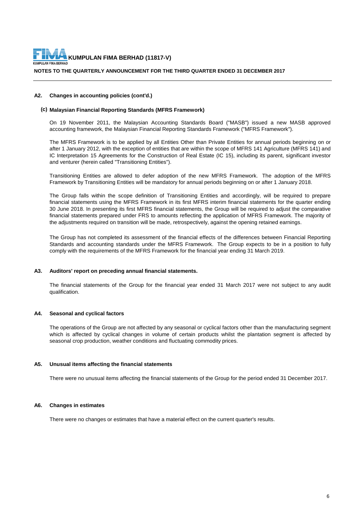

#### **A2. Changes in accounting policies (cont'd.)**

#### **(c) Malaysian Financial Reporting Standards (MFRS Framework)**

On 19 November 2011, the Malaysian Accounting Standards Board ("MASB") issued a new MASB approved accounting framework, the Malaysian Financial Reporting Standards Framework ("MFRS Framework").

The MFRS Framework is to be applied by all Entities Other than Private Entities for annual periods beginning on or after 1 January 2012, with the exception of entities that are within the scope of MFRS 141 Agriculture (MFRS 141) and IC Interpretation 15 Agreements for the Construction of Real Estate (IC 15), including its parent, significant investor and venturer (herein called "Transitioning Entities").

Transitioning Entities are allowed to defer adoption of the new MFRS Framework. The adoption of the MFRS Framework by Transitioning Entities will be mandatory for annual periods beginning on or after 1 January 2018.

The Group falls within the scope definition of Transitioning Entities and accordingly, will be required to prepare financial statements using the MFRS Framework in its first MFRS interim financial statements for the quarter ending 30 June 2018. In presenting its first MFRS financial statements, the Group will be required to adjust the comparative financial statements prepared under FRS to amounts reflecting the application of MFRS Framework. The majority of the adjustments required on transition will be made, retrospectively, against the opening retained earnings.

The Group has not completed its assessment of the financial effects of the differences between Financial Reporting Standards and accounting standards under the MFRS Framework. The Group expects to be in a position to fully comply with the requirements of the MFRS Framework for the financial year ending 31 March 2019.

#### **A3. Auditors' report on preceding annual financial statements.**

The financial statements of the Group for the financial year ended 31 March 2017 were not subject to any audit qualification.

#### **A4. Seasonal and cyclical factors**

The operations of the Group are not affected by any seasonal or cyclical factors other than the manufacturing segment which is affected by cyclical changes in volume of certain products whilst the plantation segment is affected by seasonal crop production, weather conditions and fluctuating commodity prices.

#### **A5. Unusual items affecting the financial statements**

There were no unusual items affecting the financial statements of the Group for the period ended 31 December 2017.

#### **A6. Changes in estimates**

There were no changes or estimates that have a material effect on the current quarter's results.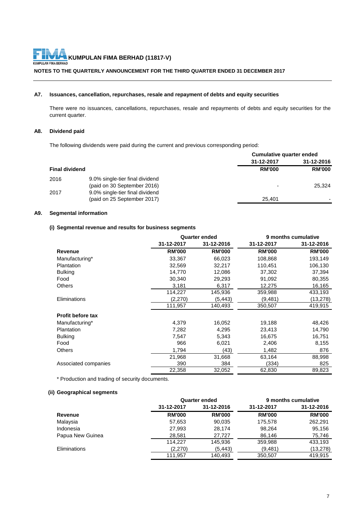# **KUMPULAN FIMA BERHAD (11817-V)**<br>KUMPULAN FIMA BERHAD

# **NOTES TO THE QUARTERLY ANNOUNCEMENT FOR THE THIRD QUARTER ENDED 31 DECEMBER 2017**

# **A7. Issuances, cancellation, repurchases, resale and repayment of debts and equity securities**

There were no issuances, cancellations, repurchases, resale and repayments of debts and equity securities for the current quarter.

#### **A8. Dividend paid**

The following dividends were paid during the current and previous corresponding period:

|                       |                                                                | Cumulative quarter ended |               |
|-----------------------|----------------------------------------------------------------|--------------------------|---------------|
|                       |                                                                | 31-12-2017               | 31-12-2016    |
| <b>Final dividend</b> |                                                                | <b>RM'000</b>            | <b>RM'000</b> |
| 2016                  | 9.0% single-tier final dividend<br>(paid on 30 September 2016) | $\overline{\phantom{a}}$ | 25.324        |
| 2017                  | 9.0% single-tier final dividend<br>(paid on 25 September 2017) | 25.401                   |               |
|                       |                                                                |                          |               |

# **A9. Segmental information**

#### **(i) Segmental revenue and results for business segments**

|                          | <b>Quarter ended</b> |               |               | 9 months cumulative |
|--------------------------|----------------------|---------------|---------------|---------------------|
|                          | 31-12-2017           | 31-12-2016    | 31-12-2017    | 31-12-2016          |
| Revenue                  | <b>RM'000</b>        | <b>RM'000</b> | <b>RM'000</b> | <b>RM'000</b>       |
| Manufacturing*           | 33,367               | 66,023        | 108,868       | 193,149             |
| Plantation               | 32,569               | 32,217        | 110,451       | 106,130             |
| <b>Bulking</b>           | 14,770               | 12,086        | 37,302        | 37,394              |
| Food                     | 30,340               | 29,293        | 91,092        | 80,355              |
| <b>Others</b>            | 3,181                | 6,317         | 12,275        | 16,165              |
|                          | 114,227              | 145,936       | 359,988       | 433,193             |
| Eliminations             | (2,270)              | (5, 443)      | (9,481)       | (13,278)            |
|                          | 111,957              | 140,493       | 350,507       | 419,915             |
| <b>Profit before tax</b> |                      |               |               |                     |
| Manufacturing*           | 4,379                | 16,052        | 19,188        | 48,426              |
| Plantation               | 7,282                | 4,295         | 23,413        | 14,790              |
| <b>Bulking</b>           | 7,547                | 5,343         | 16,675        | 16,751              |
| Food                     | 966                  | 6,021         | 2,406         | 8,155               |
| <b>Others</b>            | 1,794                | (43)          | 1,482         | 876                 |
|                          | 21,968               | 31,668        | 63,164        | 88,998              |
| Associated companies     | 390                  | 384           | (334)         | 825                 |
|                          | 22,358               | 32,052        | 62,830        | 89,823              |

\* Production and trading of security documents.

### **(ii) Geographical segments**

|                  |               | <b>Quarter ended</b> |               | 9 months cumulative |
|------------------|---------------|----------------------|---------------|---------------------|
|                  | 31-12-2017    | 31-12-2016           | 31-12-2017    | 31-12-2016          |
| Revenue          | <b>RM'000</b> | <b>RM'000</b>        | <b>RM'000</b> | <b>RM'000</b>       |
| Malaysia         | 57,653        | 90,035               | 175,578       | 262,291             |
| Indonesia        | 27,993        | 28,174               | 98,264        | 95,156              |
| Papua New Guinea | 28.581        | 27.727               | 86,146        | 75,746              |
|                  | 114.227       | 145.936              | 359,988       | 433,193             |
| Eliminations     | (2,270)       | (5, 443)             | (9, 481)      | (13, 278)           |
|                  | 111.957       | 140.493              | 350,507       | 419.915             |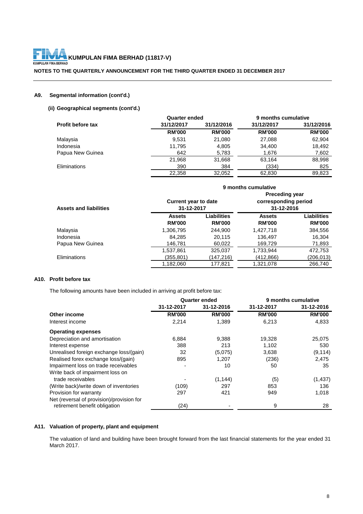# **KUMPULAN FIMA BERHAD (11817-V)**<br>KUMPULAN FIMA BERHAD FH

**NOTES TO THE QUARTERLY ANNOUNCEMENT FOR THE THIRD QUARTER ENDED 31 DECEMBER 2017**

#### **A9. Segmental information (cont'd.)**

#### **(ii) Geographical segments (cont'd.)**

|                   | <b>Quarter ended</b> |               | 9 months cumulative |               |
|-------------------|----------------------|---------------|---------------------|---------------|
| Profit before tax | 31/12/2017           | 31/12/2016    | 31/12/2017          | 31/12/2016    |
|                   | <b>RM'000</b>        | <b>RM'000</b> | <b>RM'000</b>       | <b>RM'000</b> |
| Malaysia          | 9.531                | 21,080        | 27,088              | 62,904        |
| Indonesia         | 11.795               | 4,805         | 34,400              | 18,492        |
| Papua New Guinea  | 642                  | 5,783         | 1,676               | 7,602         |
|                   | 21,968               | 31,668        | 63,164              | 88,998        |
| Eliminations      | 390                  | 384           | (334)               | 825           |
|                   | 22.358               | 32.052        | 62,830              | 89.823        |

|                               |                                | 9 months cumulative                                                                                      |                                |                                     |
|-------------------------------|--------------------------------|----------------------------------------------------------------------------------------------------------|--------------------------------|-------------------------------------|
| <b>Assets and liabilities</b> |                                | <b>Preceding year</b><br>corresponding period<br><b>Current year to date</b><br>31-12-2016<br>31-12-2017 |                                |                                     |
|                               | <b>Assets</b><br><b>RM'000</b> | Liabilities<br><b>RM'000</b>                                                                             | <b>Assets</b><br><b>RM'000</b> | <b>Liabilities</b><br><b>RM'000</b> |
| Malaysia                      | 1,306,795                      | 244.900                                                                                                  | 1,427,718                      | 384,556                             |
| Indonesia                     | 84,285                         | 20,115                                                                                                   | 136,497                        | 16,304                              |
| Papua New Guinea              | 146,781                        | 60,022                                                                                                   | 169,729                        | 71,893                              |
|                               | 1,537,861                      | 325,037                                                                                                  | 1,733,944                      | 472,753                             |
| Eliminations                  | (355,801)                      | (147,216)                                                                                                | (412,866)                      | (206,013)                           |
|                               | 1,182,060                      | 177,821                                                                                                  | 1,321,078                      | 266,740                             |

#### **A10. Profit before tax**

The following amounts have been included in arriving at profit before tax:

|                                                                            | <b>Quarter ended</b> |               |               | 9 months cumulative |
|----------------------------------------------------------------------------|----------------------|---------------|---------------|---------------------|
|                                                                            | 31-12-2017           | 31-12-2016    | 31-12-2017    | 31-12-2016          |
| Other income                                                               | <b>RM'000</b>        | <b>RM'000</b> | <b>RM'000</b> | <b>RM'000</b>       |
| Interest income                                                            | 2,214                | 1,389         | 6,213         | 4,833               |
| <b>Operating expenses</b>                                                  |                      |               |               |                     |
| Depreciation and amortisation                                              | 6,884                | 9,388         | 19,328        | 25,075              |
| Interest expense                                                           | 388                  | 213           | 1,102         | 530                 |
| Unrealised foreign exchange loss/(gain)                                    | 32                   | (5,075)       | 3,638         | (9, 114)            |
| Realised forex exchange loss/(gain)                                        | 895                  | 1,207         | (236)         | 2,475               |
| Impairment loss on trade receivables                                       |                      | 10            | 50            | 35                  |
| Write back of impairment loss on                                           |                      |               |               |                     |
| trade receivables                                                          |                      | (1, 144)      | (5)           | (1, 437)            |
| (Write back)/write down of inventories                                     | (109)                | 297           | 853           | 136                 |
| Provision for warranty                                                     | 297                  | 421           | 949           | 1,018               |
| Net (reversal of provision)/provision for<br>retirement benefit obligation | (24)                 |               | 9             | 28                  |
|                                                                            |                      |               |               |                     |

#### **A11. Valuation of property, plant and equipment**

The valuation of land and building have been brought forward from the last financial statements for the year ended 31 March 2017.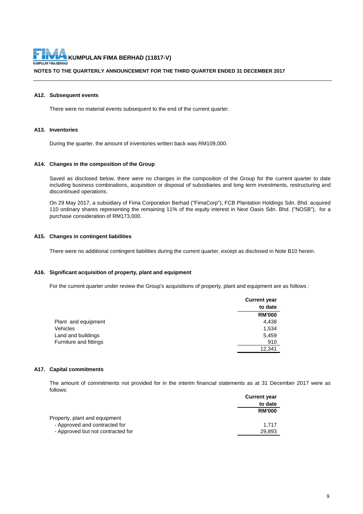# **KUMPULAN FIMA BERHAD (11817-V)**<br>KUMPULAN FIMA BERHAD

#### **NOTES TO THE QUARTERLY ANNOUNCEMENT FOR THE THIRD QUARTER ENDED 31 DECEMBER 2017**

#### **A12. Subsequent events**

There were no material events subsequent to the end of the current quarter.

#### **A13. Inventories**

During the quarter, the amount of inventories written back was RM109,000.

#### **A14. Changes in the composition of the Group**

Saved as disclosed below, there were no changes in the composition of the Group for the current quarter to date including business combinations, acquisition or disposal of subsidiaries and long term investments, restructuring and discontinued operations.

On 29 May 2017, a subsidiary of Fima Corporation Berhad ("FimaCorp"), FCB Plantation Holdings Sdn. Bhd. acquired 110 ordinary shares representing the remaining 11% of the equity interest in Next Oasis Sdn. Bhd. ("NOSB"), for a purchase consideration of RM173,000.

#### **A15. Changes in contingent liabilities**

There were no additional contingent liabilities during the current quarter, except as disclosed in Note B10 herein.

#### **A16. Significant acquisition of property, plant and equipment**

For the current quarter under review the Group's acquisitions of property, plant and equipment are as follows :

|                               | <b>Current year</b> |
|-------------------------------|---------------------|
|                               | to date             |
|                               | <b>RM'000</b>       |
| Plant and equipment           | 4,438               |
| Vehicles                      | 1,534               |
| Land and buildings            | 5,459               |
| <b>Furniture and fittings</b> | 910                 |
|                               | 12.341              |

#### **A17. Capital commitments**

The amount of commitments not provided for in the interim financial statements as at 31 December 2017 were as follows:

|                                   | <b>Current year</b> |
|-----------------------------------|---------------------|
|                                   | to date             |
|                                   | <b>RM'000</b>       |
| Property, plant and equipment     |                     |
| - Approved and contracted for     | 1.717               |
| - Approved but not contracted for | 29.893              |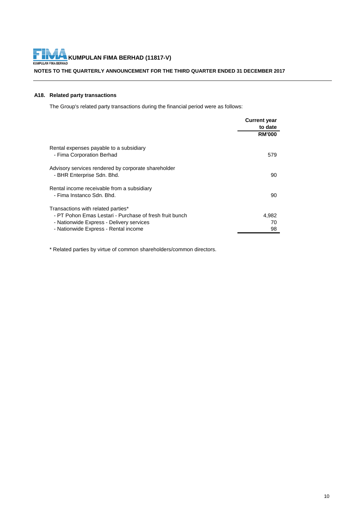# **KUMPULAN FIMA BERHAD (11817-V)**<br>KUMPULAN FIMA BERHAD (11817-V)

**NOTES TO THE QUARTERLY ANNOUNCEMENT FOR THE THIRD QUARTER ENDED 31 DECEMBER 2017**

#### **A18. Related party transactions**

The Group's related party transactions during the financial period were as follows:

| <b>Current year</b> |
|---------------------|
| to date             |
| <b>RM'000</b>       |
| 579                 |
| 90                  |
| 90                  |
| 4,982<br>70<br>98   |
|                     |

\* Related parties by virtue of common shareholders/common directors.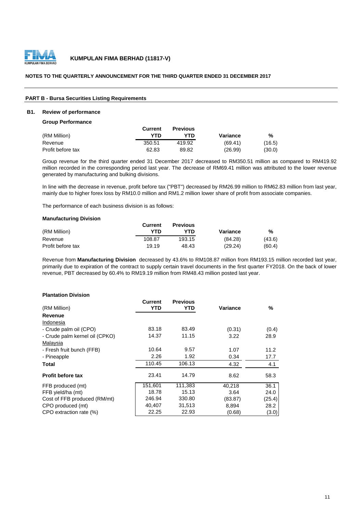

#### **NOTES TO THE QUARTERLY ANNOUNCEMENT FOR THE THIRD QUARTER ENDED 31 DECEMBER 2017**

#### **PART B - Bursa Securities Listing Requirements**

#### **B1. Review of performance**

**Group Performance**

|                   | Current | <b>Previous</b> |          |        |
|-------------------|---------|-----------------|----------|--------|
| (RM Million)      | YTN     | YTN             | Variance | %      |
| Revenue           | 350.51  | 419.92          | (69.41)  | (16.5) |
| Profit before tax | 62.83   | 89.82           | (26.99)  | (30.0) |

Group revenue for the third quarter ended 31 December 2017 decreased to RM350.51 million as compared to RM419.92 million recorded in the corresponding period last year. The decrease of RM69.41 million was attributed to the lower revenue generated by manufacturing and bulking divisions.

In line with the decrease in revenue, profit before tax ("PBT") decreased by RM26.99 million to RM62.83 million from last year, mainly due to higher forex loss by RM10.0 million and RM1.2 million lower share of profit from associate companies.

The performance of each business division is as follows:

#### **Manufacturing Division**

|                   | Current | <b>Previous</b> |          |        |
|-------------------|---------|-----------------|----------|--------|
| (RM Million)      | YTD     | YTN             | Variance | %      |
| Revenue           | 108.87  | 193.15          | (84.28)  | (43.6) |
| Profit before tax | 19.19   | 48.43           | (29.24)  | (60.4) |

Revenue from **Manufacturing Division** decreased by 43.6% to RM108.87 million from RM193.15 million recorded last year, primarily due to expiration of the contract to supply certain travel documents in the first quarter FY2018. On the back of lower revenue, PBT decreased by 60.4% to RM19.19 million from RM48.43 million posted last year.

#### **Plantation Division**

|                                | Current | <b>Previous</b> |          |        |
|--------------------------------|---------|-----------------|----------|--------|
| (RM Million)                   | YTD     | YTD             | Variance | %      |
| Revenue                        |         |                 |          |        |
| Indonesia                      |         |                 |          |        |
| - Crude palm oil (CPO)         | 83.18   | 83.49           | (0.31)   | (0.4)  |
| - Crude palm kernel oil (CPKO) | 14.37   | 11.15           | 3.22     | 28.9   |
| Malaysia                       |         |                 |          |        |
| - Fresh fruit bunch (FFB)      | 10.64   | 9.57            | 1.07     | 11.2   |
| - Pineapple                    | 2.26    | 1.92            | 0.34     | 17.7   |
| Total                          | 110.45  | 106.13          | 4.32     | 4.1    |
| <b>Profit before tax</b>       | 23.41   | 14.79           | 8.62     | 58.3   |
| FFB produced (mt)              | 151,601 | 111,383         | 40,218   | 36.1   |
| FFB yield/ha (mt)              | 18.78   | 15.13           | 3.64     | 24.0   |
| Cost of FFB produced (RM/mt)   | 246.94  | 330.80          | (83.87)  | (25.4) |
| CPO produced (mt)              | 40,407  | 31,513          | 8,894    | 28.2   |
| CPO extraction rate (%)        | 22.25   | 22.93           | (0.68)   | (3.0)  |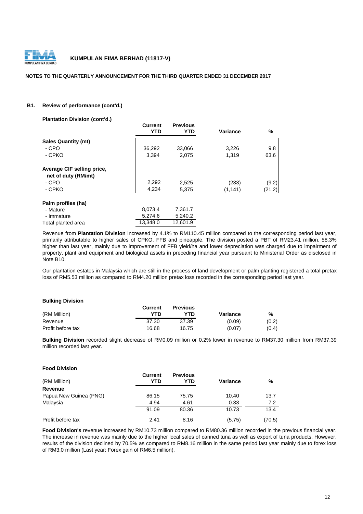

#### **NOTES TO THE QUARTERLY ANNOUNCEMENT FOR THE THIRD QUARTER ENDED 31 DECEMBER 2017**

#### **B1. Review of performance (cont'd.)**

**Plantation Division (cont'd.) Current Previous YTD YTD Variance %**  36,292 33,066 3,226 9.8 3,394 2,075 1,319 63.6  **net of duty (RM/mt)** 2,292 2,525 (233) (9.2) 4,234 5,375 (1,141) (21.2) **Palm profiles (ha)** 8,073.4 7,361.7 5,274.6 5,240.2 Total planted area 13,348.0 12,601.9 - CPO **Average CIF selling price,** - Mature - Immature - CPO - CPKO **Sales Quantity (mt)** - CPKO

Revenue from **Plantation Division** increased by 4.1% to RM110.45 million compared to the corresponding period last year, primarily attributable to higher sales of CPKO, FFB and pineapple. The division posted a PBT of RM23.41 million, 58.3% higher than last year, mainly due to improvement of FFB yield/ha and lower depreciation was charged due to impairment of property, plant and equipment and biological assets in preceding financial year pursuant to Ministerial Order as disclosed in Note B10.

Our plantation estates in Malaysia which are still in the process of land development or palm planting registered a total pretax loss of RM5.53 million as compared to RM4.20 million pretax loss recorded in the corresponding period last year.

#### **Bulking Division**

|                   | Current | <b>Previous</b> |          |       |
|-------------------|---------|-----------------|----------|-------|
| (RM Million)      | YTN     | YTN             | Variance | %     |
| Revenue           | 37.30   | 37.39           | (0.09)   | (0.2) |
| Profit before tax | 16.68   | 16.75           | (0.07)   | (0.4) |

**Bulking Division** recorded slight decrease of RM0.09 million or 0.2% lower in revenue to RM37.30 million from RM37.39 million recorded last year.

| (RM Million)           | <b>Current</b><br>YTD | <b>Previous</b><br>YTD | <b>Variance</b> | %      |
|------------------------|-----------------------|------------------------|-----------------|--------|
| <b>Revenue</b>         |                       |                        |                 |        |
| Papua New Guinea (PNG) | 86.15                 | 75.75                  | 10.40           | 13.7   |
| Malaysia               | 4.94                  | 4.61                   | 0.33            | 7.2    |
|                        | 91.09                 | 80.36                  | 10.73           | 13.4   |
| Profit before tax      | 2.41                  | 8.16                   | (5.75)          | (70.5) |

**Food Division's** revenue increased by RM10.73 million compared to RM80.36 million recorded in the previous financial year. The increase in revenue was mainly due to the higher local sales of canned tuna as well as export of tuna products. However, results of the division declined by 70.5% as compared to RM8.16 million in the same period last year mainly due to forex loss of RM3.0 million (Last year: Forex gain of RM6.5 million).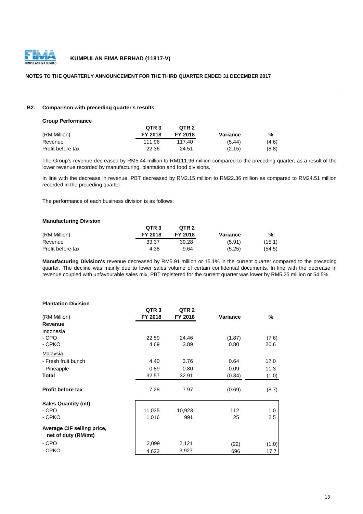

#### **NOTES TO THE QUARTERLY ANNOUNCEMENT FOR THE THIRD QUARTER ENDED 31 DECEMBER 2017**

#### **B2. Comparison with preceding quarter's results**

| <b>Group Performance</b> |                  |                  |          |       |
|--------------------------|------------------|------------------|----------|-------|
|                          | QTR <sub>3</sub> | OTR <sub>2</sub> |          |       |
| (RM Million)             | FY 2018          | <b>FY 2018</b>   | Variance | %     |
| Revenue                  | 111.96           | 117.40           | (5.44)   | (4.6) |
| Profit before tax        | 22.36            | 24.51            | (2.15)   | (8.8) |

The Group's revenue decreased by RM5.44 million to RM111.96 million compared to the preceding quarter, as a result of the lower revenue recorded by manufacturing, plantation and food divisions.

In line with the decrease in revenue, PBT decreased by RM2.15 million to RM22.36 million as compared to RM24.51 million recorded in the preceding quarter.

The performance of each business division is as follows:

#### **Manufacturing Division**

|                   | QTR <sub>3</sub> | QTR <sub>2</sub> |          |        |
|-------------------|------------------|------------------|----------|--------|
| (RM Million)      | <b>FY 2018</b>   | FY 2018          | Variance | %      |
| Revenue           | 33.37            | 39.28            | (5.91)   | (15.1) |
| Profit before tax | 4.38             | 9.64             | (5.25)   | (54.5) |

**Manufacturing Division's** revenue decreased by RM5.91 million or 15.1% in the current quarter compared to the preceding quarter. The decline was mainly due to lower sales volume of certain confidential documents. In line with the decrease in revenue coupled with unfavourable sales mix, PBT registered for the current quarter was lower by RM5.25 million or 54.5%.

#### **Plantation Division**

|                                                   | QTR <sub>3</sub> | QTR <sub>2</sub> |          |       |
|---------------------------------------------------|------------------|------------------|----------|-------|
| (RM Million)                                      | FY 2018          | FY 2018          | Variance | %     |
| <b>Revenue</b>                                    |                  |                  |          |       |
| Indonesia                                         |                  |                  |          |       |
| - CPO                                             | 22.59            | 24.46            | (1.87)   | (7.6) |
| - CPKO                                            | 4.69             | 3.89             | 0.80     | 20.6  |
| <b>Malaysia</b>                                   |                  |                  |          |       |
| - Fresh fruit bunch                               | 4.40             | 3.76             | 0.64     | 17.0  |
| - Pineapple                                       | 0.89             | 0.80             | 0.09     | 11.3  |
| Total                                             | 32.57            | 32.91            | (0.34)   | (1.0) |
| <b>Profit before tax</b>                          | 7.28             | 7.97             | (0.69)   | (8.7) |
| <b>Sales Quantity (mt)</b>                        |                  |                  |          |       |
| - CPO                                             | 11,035           | 10,923           | 112      | 1.0   |
| - CPKO                                            | 1,016            | 991              | 25       | 2.5   |
| Average CIF selling price,<br>net of duty (RM/mt) |                  |                  |          |       |
| - CPO                                             | 2,099            | 2,121            | (22)     | (1.0) |
| - CPKO                                            | 4,623            | 3,927            | 696      | 17.7  |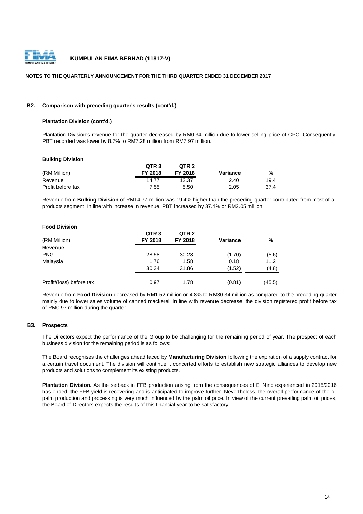

#### **NOTES TO THE QUARTERLY ANNOUNCEMENT FOR THE THIRD QUARTER ENDED 31 DECEMBER 2017**

#### **B2. Comparison with preceding quarter's results (cont'd.)**

#### **Plantation Division (cont'd.)**

Plantation Division's revenue for the quarter decreased by RM0.34 million due to lower selling price of CPO. Consequently, PBT recorded was lower by 8.7% to RM7.28 million from RM7.97 million.

| <b>Bulking Division</b> |  |
|-------------------------|--|
|-------------------------|--|

|                   | QTR <sub>3</sub> | QTR <sub>2</sub> |          |      |
|-------------------|------------------|------------------|----------|------|
| (RM Million)      | FY 2018          | FY 2018          | Variance | %    |
| Revenue           | 14.77            | 12.37            | 2.40     | 19.4 |
| Profit before tax | 7.55             | 5.50             | 2.05     | 37.4 |

Revenue from **Bulking Division** of RM14.77 million was 19.4% higher than the preceding quarter contributed from most of all products segment. In line with increase in revenue, PBT increased by 37.4% or RM2.05 million.

| <b>Food Division</b>     |                  |                  |          |        |
|--------------------------|------------------|------------------|----------|--------|
|                          | QTR <sub>3</sub> | QTR <sub>2</sub> |          |        |
| (RM Million)             | FY 2018          | FY 2018          | Variance | %      |
| Revenue                  |                  |                  |          |        |
| <b>PNG</b>               | 28.58            | 30.28            | (1.70)   | (5.6)  |
| Malaysia                 | 1.76             | 1.58             | 0.18     | 11.2   |
|                          | 30.34            | 31.86            | (1.52)   | (4.8)  |
|                          |                  |                  |          |        |
| Profit/(loss) before tax | 0.97             | 1.78             | (0.81)   | (45.5) |

Revenue from **Food Division** decreased by RM1.52 million or 4.8% to RM30.34 million as compared to the preceding quarter mainly due to lower sales volume of canned mackerel. In line with revenue decrease, the division registered profit before tax of RM0.97 million during the quarter.

#### **B3. Prospects**

The Directors expect the performance of the Group to be challenging for the remaining period of year. The prospect of each business division for the remaining period is as follows:

The Board recognises the challenges ahead faced by **Manufacturing Division** following the expiration of a supply contract for a certain travel document. The division will continue it concerted efforts to establish new strategic alliances to develop new products and solutions to complement its existing products.

**Plantation Division.** As the setback in FFB production arising from the consequences of El Nino experienced in 2015/2016 has ended, the FFB yield is recovering and is anticipated to improve further. Nevertheless, the overall performance of the oil palm production and processing is very much influenced by the palm oil price. In view of the current prevailing palm oil prices, the Board of Directors expects the results of this financial year to be satisfactory.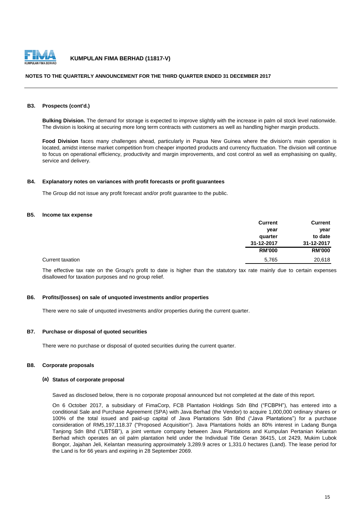

#### **NOTES TO THE QUARTERLY ANNOUNCEMENT FOR THE THIRD QUARTER ENDED 31 DECEMBER 2017**

#### **B3. Prospects (cont'd.)**

**Bulking Division.** The demand for storage is expected to improve slightly with the increase in palm oil stock level nationwide. The division is looking at securing more long term contracts with customers as well as handling higher margin products.

**Food Division** faces many challenges ahead, particularly in Papua New Guinea where the division's main operation is located, amidst intense market competition from cheaper imported products and currency fluctuation. The division will continue to focus on operational efficiency, productivity and margin improvements, and cost control as well as emphasising on quality, service and delivery.

#### **B4. Explanatory notes on variances with profit forecasts or profit guarantees**

The Group did not issue any profit forecast and/or profit guarantee to the public.

#### **B5. Income tax expense**

|                  | <b>Current</b> | <b>Current</b> |
|------------------|----------------|----------------|
|                  | year           | year           |
|                  | quarter        | to date        |
|                  | 31-12-2017     | 31-12-2017     |
|                  | <b>RM'000</b>  | <b>RM'000</b>  |
| Current taxation | 5,765          | 20,618         |

The effective tax rate on the Group's profit to date is higher than the statutory tax rate mainly due to certain expenses disallowed for taxation purposes and no group relief.

#### **B6. Profits/(losses) on sale of unquoted investments and/or properties**

There were no sale of unquoted investments and/or properties during the current quarter.

#### **B7. Purchase or disposal of quoted securities**

There were no purchase or disposal of quoted securities during the current quarter.

#### **B8. Corporate proposals**

#### **(a) Status of corporate proposal**

Saved as disclosed below, there is no corporate proposal announced but not completed at the date of this report.

On 6 October 2017, a subsidiary of FimaCorp, FCB Plantation Holdings Sdn Bhd ("FCBPH"), has entered into a conditional Sale and Purchase Agreement (SPA) with Java Berhad (the Vendor) to acquire 1,000,000 ordinary shares or 100% of the total issued and paid-up capital of Java Plantations Sdn Bhd ("Java Plantations") for a purchase consideration of RM5,197,118.37 ("Proposed Acquisition"). Java Plantations holds an 80% interest in Ladang Bunga Tanjong Sdn Bhd ("LBTSB"), a joint venture company between Java Plantations and Kumpulan Pertanian Kelantan Berhad which operates an oil palm plantation held under the Individual Title Geran 36415, Lot 2429, Mukim Lubok Bongor, Jajahan Jeli, Kelantan measuring approximately 3,289.9 acres or 1,331.0 hectares (Land). The lease period for the Land is for 66 years and expiring in 28 September 2069.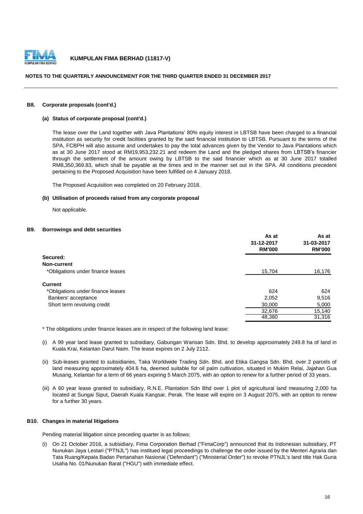

#### **NOTES TO THE QUARTERLY ANNOUNCEMENT FOR THE THIRD QUARTER ENDED 31 DECEMBER 2017**

#### **B8. Corporate proposals (cont'd.)**

#### **(a) Status of corporate proposal (cont'd.)**

The lease over the Land together with Java Plantations' 80% equity interest in LBTSB have been charged to a financial institution as security for credit facilities granted by the said financial institution to LBTSB. Pursuant to the terms of the SPA, FCBPH will also assume and undertakes to pay the total advances given by the Vendor to Java Plantations which as at 30 June 2017 stood at RM19,953,232.21 and redeem the Land and the pledged shares from LBTSB's financier through the settlement of the amount owing by LBTSB to the said financier which as at 30 June 2017 totalled RM8,350,369.83, which shall be payable at the times and in the manner set out in the SPA. All conditions precedent pertaining to the Proposed Acquisition have been fulfilled on 4 January 2018.

The Proposed Acquisition was completed on 20 February 2018.

#### **(b) Utilisation of proceeds raised from any corporate proposal**

Not applicable.

#### **B9. Borrowings and debt securities**

| As at<br>31-12-2017<br><b>RM'000</b> | As at<br>31-03-2017<br><b>RM'000</b> |
|--------------------------------------|--------------------------------------|
|                                      |                                      |
|                                      |                                      |
| 15,704                               | 16,176                               |
|                                      |                                      |
| 624                                  | 624                                  |
| 2,052                                | 9,516                                |
| 30,000                               | 5,000                                |
| 32,676                               | 15,140                               |
| 48,380                               | 31,316                               |
|                                      |                                      |

\* The obligations under finance leases are in respect of the following land lease:

- (i) A 99 year land lease granted to subsidiary, Gabungan Warisan Sdn. Bhd. to develop approximately 249.8 ha of land in Kuala Krai, Kelantan Darul Naim. The lease expires on 2 July 2112.
- (ii) Sub-leases granted to subsidiaries, Taka Worldwide Trading Sdn. Bhd. and Etika Gangsa Sdn. Bhd. over 2 parcels of land measuring approximately 404.6 ha, deemed suitable for oil palm cultivation, situated in Mukim Relai, Jajahan Gua Musang, Kelantan for a term of 66 years expiring 5 March 2075, with an option to renew for a further period of 33 years.
- (iii) A 60 year lease granted to subsidiary, R.N.E. Plantation Sdn Bhd over 1 plot of agricultural land measuring 2,000 ha located at Sungai Siput, Daerah Kuala Kangsar, Perak. The lease will expire on 3 August 2075, with an option to renew for a further 30 years.

#### **B10. Changes in material litigations**

Pending material litigation since preceding quarter is as follows:

(i) On 21 October 2016, a subsidiary, Fima Corporation Berhad ("FimaCorp") announced that its Indonesian subsidiary, PT Nunukan Jaya Lestari ("PTNJL") has institued legal proceedings to challenge the order issued by the Menteri Agraria dan Tata Ruang/Kepala Badan Pertanahan Nasional ('Defendant") ("Ministerial Order") to revoke PTNJL's land title Hak Guna Usaha No. 01/Nunukan Barat ("HGU") with immediate effect.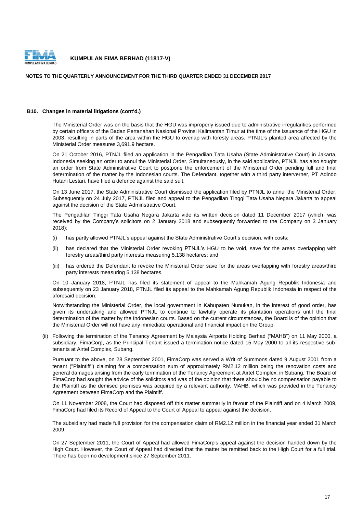

#### **NOTES TO THE QUARTERLY ANNOUNCEMENT FOR THE THIRD QUARTER ENDED 31 DECEMBER 2017**

#### **B10. Changes in material litigations (cont'd.)**

The Ministerial Order was on the basis that the HGU was improperly issued due to administrative irregularities performed by certain officers of the Badan Pertanahan Nasional Provinsi Kalimantan Timur at the time of the issuance of the HGU in 2003, resulting in parts of the area within the HGU to overlap with foresty areas. PTNJL's planted area affected by the Ministerial Order measures 3,691.9 hectare.

On 21 October 2016, PTNJL filed an application in the Pengadilan Tata Usaha (State Administrative Court) in Jakarta, Indonesia seeking an order to annul the Ministerial Order. Simultaneously, in the said application, PTNJL has also sought an order from State Administrative Court to postpone the enforcement of the Ministerial Order pending full and final determination of the matter by the Indonesian courts. The Defendant, together with a third party interverner, PT Adindo Hutani Lestari, have filed a defence against the said suit.

On 13 June 2017, the State Administrative Court dismissed the application filed by PTNJL to annul the Ministerial Order. Subsequently on 24 July 2017, PTNJL filed and appeal to the Pengadilan Tinggi Tata Usaha Negara Jakarta to appeal against the decision of the State Adminstrative Court.

The Pengadilan Tinggi Tata Usaha Negara Jakarta vide its written decision dated 11 December 2017 (which was received by the Company's solicitors on 2 January 2018 and subsequently forwarded to the Company on 3 January 2018):

- (i) has partly allowed PTNJL's appeal against the State Administrative Court's decision, with costs;
- (ii) has declared that the Ministerial Order revoking PTNJL's HGU to be void, save for the areas overlapping with forestry areas/third party interests measuring 5,138 hectares; and
- (iii) has ordered the Defendant to revoke the Ministerial Order save for the areas overlapping with forestry areas/third party interests measuring 5,138 hectares.

On 10 January 2018, PTNJL has filed its statement of appeal to the Mahkamah Agung Republik Indonesia and subsequently on 23 January 2018, PTNJL filed its appeal to the Mahkamah Agung Republik Indonesia in respect of the aforesaid decision.

Notwithstanding the Ministerial Order, the local government in Kabupaten Nunukan, in the interest of good order, has given its undertaking and allowed PTNJL to continue to lawfully operate its plantation operations until the final determination of the matter by the Indonesian courts. Based on the current circumstances, the Board is of the opinion that the Ministerial Order will not have any immediate operational and financial impact on the Group.

(ii) Following the termination of the Tenancy Agreement by Malaysia Airports Holding Berhad ("MAHB") on 11 May 2000, a subsidiary, FimaCorp, as the Principal Tenant issued a termination notice dated 15 May 2000 to all its respective subtenants at Airtel Complex, Subang.

Pursuant to the above, on 28 September 2001, FimaCorp was served a Writ of Summons dated 9 August 2001 from a tenant ("Plaintiff") claiming for a compensation sum of approximately RM2.12 million being the renovation costs and general damages arising from the early termination of the Tenancy Agreement at Airtel Complex, in Subang. The Board of FimaCorp had sought the advice of the solicitors and was of the opinion that there should be no compensation payable to the Plaintiff as the demised premises was acquired by a relevant authority, MAHB, which was provided in the Tenancy Agreement between FimaCorp and the Plaintiff.

On 11 November 2008, the Court had disposed off this matter summarily in favour of the Plaintiff and on 4 March 2009, FimaCorp had filed its Record of Appeal to the Court of Appeal to appeal against the decision.

The subsidiary had made full provision for the compensation claim of RM2.12 million in the financial year ended 31 March 2009.

On 27 September 2011, the Court of Appeal had allowed FimaCorp's appeal against the decision handed down by the High Court. However, the Court of Appeal had directed that the matter be remitted back to the High Court for a full trial. There has been no development since 27 September 2011.